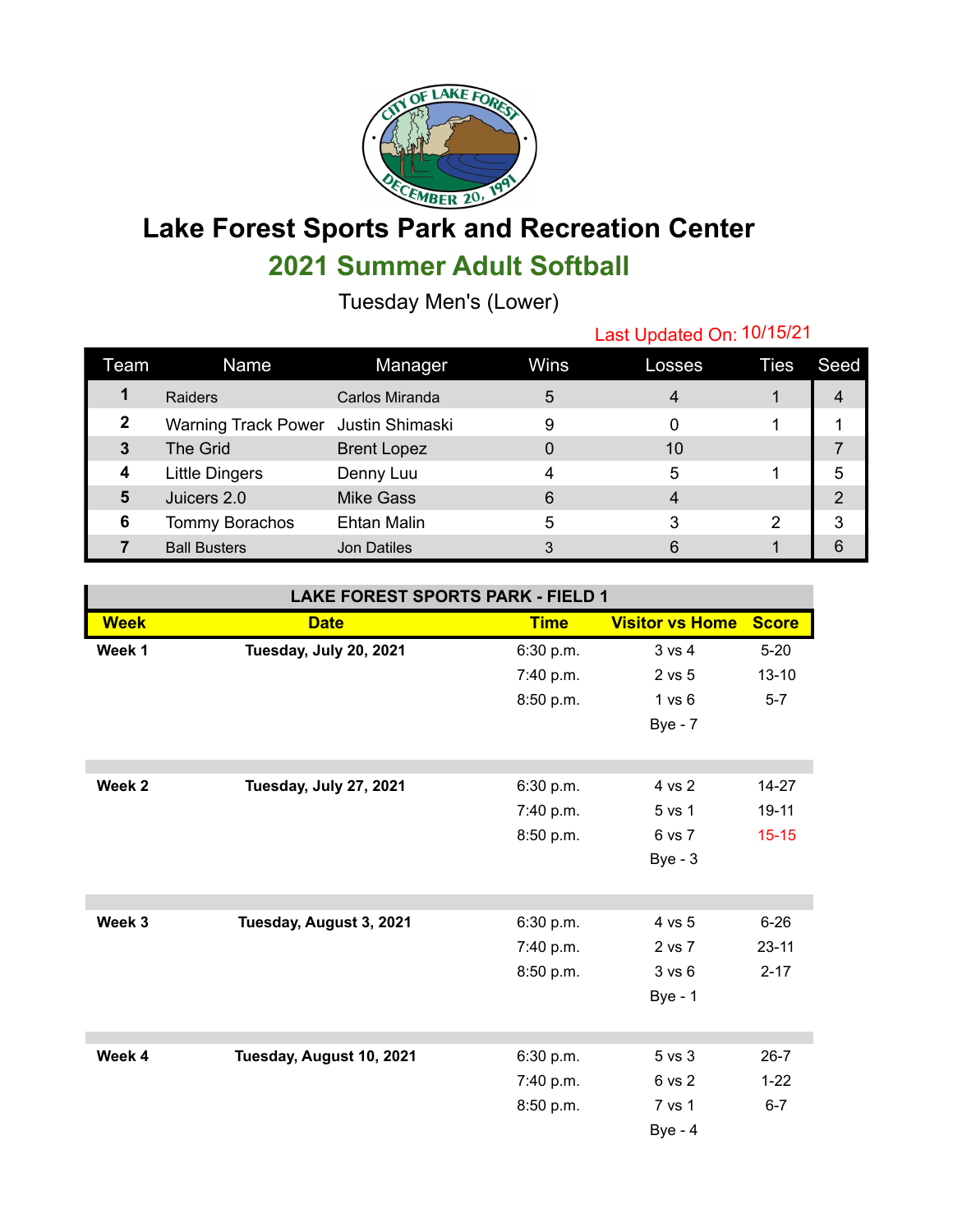

## **Lake Forest Sports Park and Recreation Center 2021 Summer Adult Softball**

Tuesday Men's (Lower)

## Last Updated On: 10/15/21

| Team | Name                                | Manager            | Wins | Losses | Ties | Seed |
|------|-------------------------------------|--------------------|------|--------|------|------|
|      | Raiders                             | Carlos Miranda     | 5    |        |      |      |
| 2    | Warning Track Power Justin Shimaski |                    | 9    |        |      |      |
| 3    | <b>The Grid</b>                     | <b>Brent Lopez</b> |      | 10     |      |      |
| 4    | <b>Little Dingers</b>               | Denny Luu          |      | 5      |      | 5    |
| 5    | Juicers 2.0                         | <b>Mike Gass</b>   | 6    |        |      | っ    |
| 6    | Tommy Borachos                      | <b>Ehtan Malin</b> | 5    | 3      | 2    | 3    |
|      | <b>Ball Busters</b>                 | Jon Datiles        |      |        |      | 6    |

## **LAKE FOREST SPORTS PARK - FIELD 1**

| <b>Week</b> | <b>Date</b>              | <b>Time</b> | <b>Visitor vs Home</b> | <b>Score</b> |
|-------------|--------------------------|-------------|------------------------|--------------|
| Week 1      | Tuesday, July 20, 2021   | 6:30 p.m.   | 3 vs 4                 | $5 - 20$     |
|             |                          | 7:40 p.m.   | 2 vs 5                 | $13 - 10$    |
|             |                          | 8:50 p.m.   | 1 vs 6                 | $5 - 7$      |
|             |                          |             | $Bye - 7$              |              |
|             |                          |             |                        |              |
| Week 2      | Tuesday, July 27, 2021   | 6:30 p.m.   | 4 vs 2                 | 14-27        |
|             |                          | 7:40 p.m.   | 5 vs 1                 | 19-11        |
|             |                          | 8:50 p.m.   | 6 vs 7                 | $15 - 15$    |
|             |                          |             | $Bye-3$                |              |
|             |                          |             |                        |              |
|             |                          |             |                        |              |
| Week 3      | Tuesday, August 3, 2021  | 6:30 p.m.   | 4 vs 5                 | $6 - 26$     |
|             |                          | 7:40 p.m.   | 2 vs 7                 | $23 - 11$    |
|             |                          | 8:50 p.m.   | 3 v s 6                | $2 - 17$     |
|             |                          |             | <b>Bye - 1</b>         |              |
|             |                          |             |                        |              |
| Week 4      | Tuesday, August 10, 2021 | 6:30 p.m.   | 5 vs 3                 | $26 - 7$     |
|             |                          | 7:40 p.m.   | 6 vs 2                 | $1 - 22$     |
|             |                          | 8:50 p.m.   | 7 vs 1                 | $6 - 7$      |
|             |                          |             | $Bye - 4$              |              |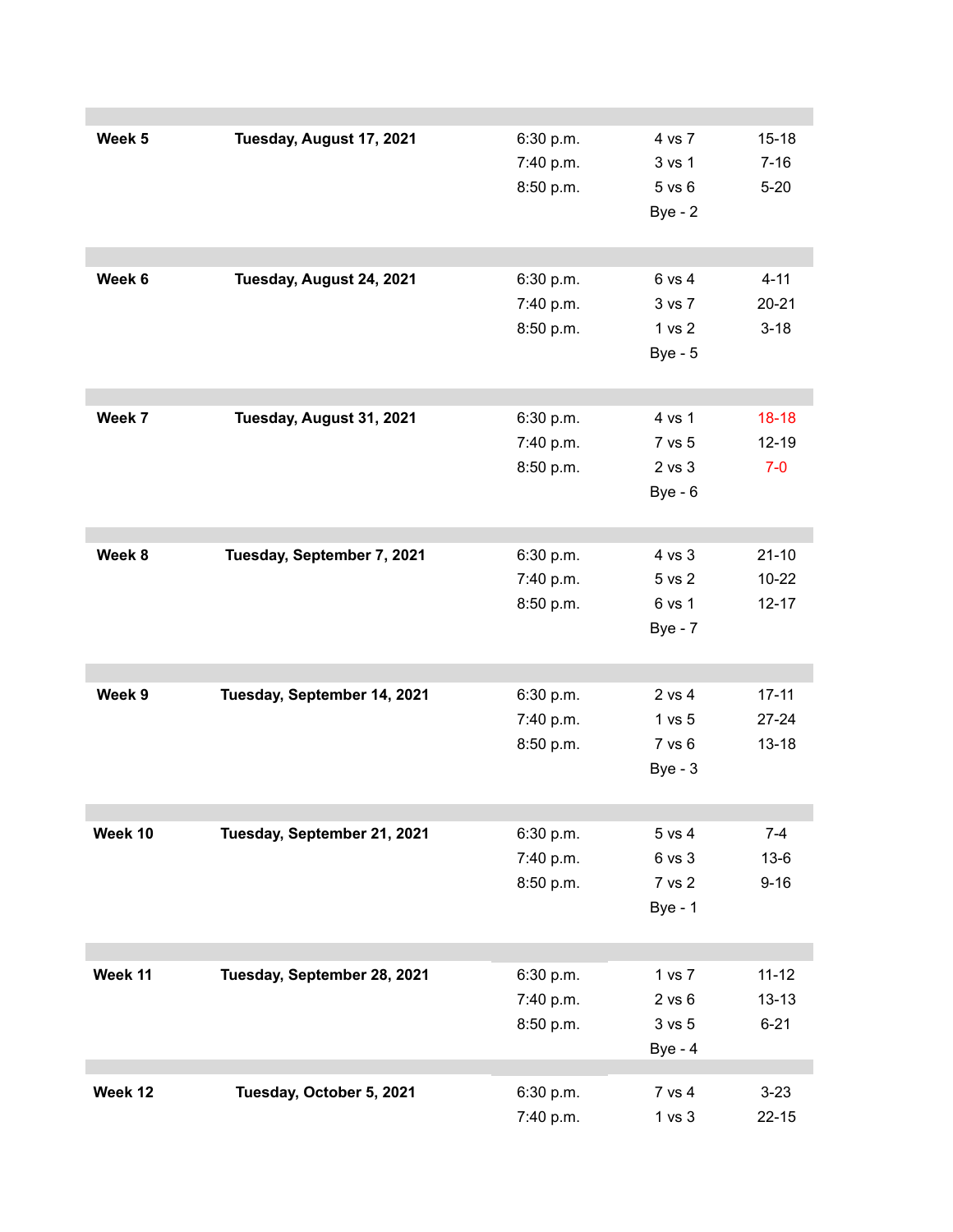| Week 5  | Tuesday, August 17, 2021    | 6:30 p.m. | 4 vs 7         | $15 - 18$ |
|---------|-----------------------------|-----------|----------------|-----------|
|         |                             | 7:40 p.m. | 3 vs 1         | $7 - 16$  |
|         |                             | 8:50 p.m. | 5 vs 6         | $5 - 20$  |
|         |                             |           | $Bye - 2$      |           |
|         |                             |           |                |           |
| Week 6  |                             | 6:30 p.m. | 6 vs 4         | $4 - 11$  |
|         | Tuesday, August 24, 2021    |           | 3 vs 7         | $20 - 21$ |
|         |                             | 7:40 p.m. |                |           |
|         |                             | 8:50 p.m. | 1 vs 2         | $3 - 18$  |
|         |                             |           | <b>Bye - 5</b> |           |
|         |                             |           |                |           |
| Week 7  | Tuesday, August 31, 2021    | 6:30 p.m. | 4 vs 1         | $18-18$   |
|         |                             | 7:40 p.m. | 7 vs 5         | $12 - 19$ |
|         |                             | 8:50 p.m. | 2 vs 3         | $7-0$     |
|         |                             |           | $Bye - 6$      |           |
|         |                             |           |                |           |
| Week 8  | Tuesday, September 7, 2021  | 6:30 p.m. | 4 vs 3         | $21 - 10$ |
|         |                             | 7:40 p.m. | 5 vs 2         | $10 - 22$ |
|         |                             | 8:50 p.m. | 6 vs 1         | $12 - 17$ |
|         |                             |           | <b>Bye - 7</b> |           |
|         |                             |           |                |           |
| Week 9  | Tuesday, September 14, 2021 | 6:30 p.m. | 2 vs 4         | $17 - 11$ |
|         |                             | 7:40 p.m. | 1 vs 5         | $27 - 24$ |
|         |                             | 8:50 p.m. | 7 vs 6         | $13 - 18$ |
|         |                             |           | $Bye - 3$      |           |
|         |                             |           |                |           |
| Week 10 | Tuesday, September 21, 2021 | 6:30 p.m. | 5 vs 4         | $7 - 4$   |
|         |                             | 7:40 p.m. | 6 vs 3         | $13-6$    |
|         |                             | 8:50 p.m. | 7 vs 2         | $9 - 16$  |
|         |                             |           | <b>Bye - 1</b> |           |
|         |                             |           |                |           |
| Week 11 | Tuesday, September 28, 2021 | 6:30 p.m. | 1 vs 7         | $11 - 12$ |
|         |                             | 7:40 p.m. | $2$ vs $6$     | $13 - 13$ |
|         |                             | 8:50 p.m. | 3 vs 5         | $6 - 21$  |
|         |                             |           | <b>Bye - 4</b> |           |
|         |                             |           |                |           |
| Week 12 | Tuesday, October 5, 2021    | 6:30 p.m. | 7 vs 4         | $3 - 23$  |
|         |                             | 7:40 p.m. | 1 vs 3         | $22 - 15$ |